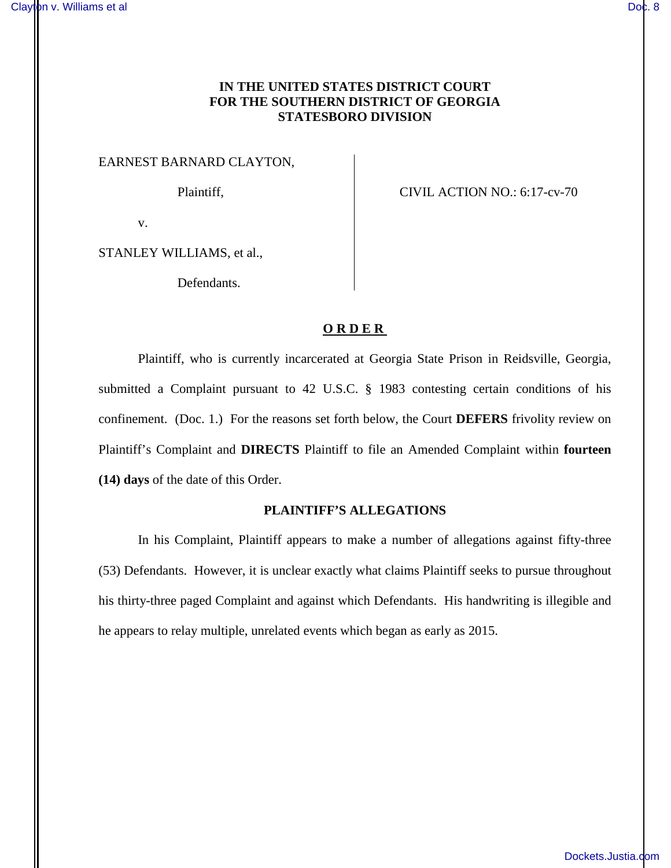## **IN THE UNITED STATES DISTRICT COURT FOR THE SOUTHERN DISTRICT OF GEORGIA STATESBORO DIVISION**

EARNEST BARNARD CLAYTON,

Plaintiff, CIVIL ACTION NO.: 6:17-cv-70

v.

STANLEY WILLIAMS, et al.,

Defendants.

### **ORDER**

Plaintiff, who is currently incarcerated at Georgia State Prison in Reidsville, Georgia, submitted a Complaint pursuant to 42 U.S.C. § 1983 contesting certain conditions of his confinement. (Doc. 1.) For the reasons set forth below, the Court **DEFERS** frivolity review on Plaintiff's Complaint and **DIRECTS** Plaintiff to file an Amended Complaint within **fourteen (14) days** of the date of this Order.

### **PLAINTIFF'S ALLEGATIONS**

In his Complaint, Plaintiff appears to make a number of allegations against fifty-three (53) Defendants. However, it is unclear exactly what claims Plaintiff seeks to pursue throughout his thirty-three paged Complaint and against which Defendants. His handwriting is illegible and he appears to relay multiple, unrelated events which began as early as 2015.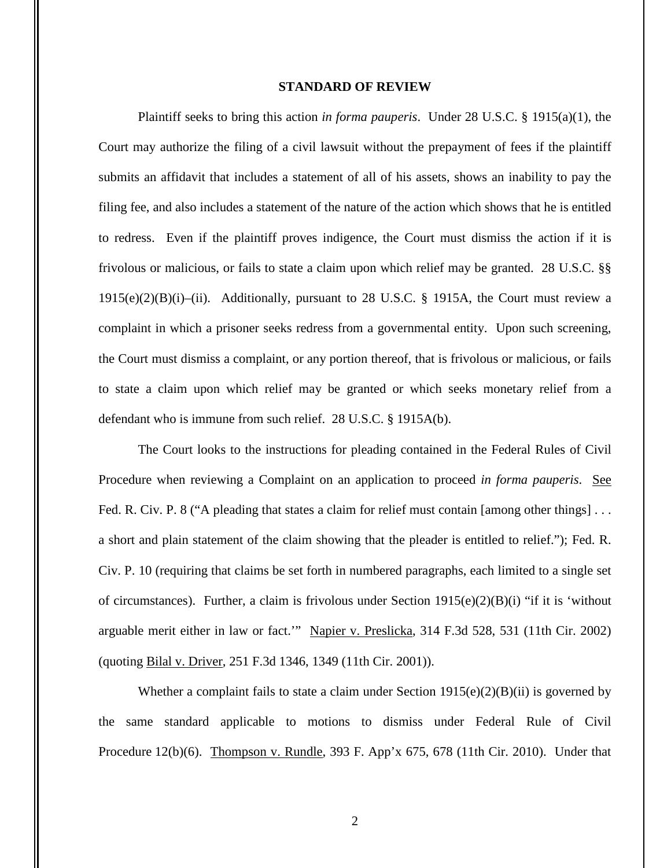#### **STANDARD OF REVIEW**

Plaintiff seeks to bring this action *in forma pauperis*. Under 28 U.S.C. § 1915(a)(1), the Court may authorize the filing of a civil lawsuit without the prepayment of fees if the plaintiff submits an affidavit that includes a statement of all of his assets, shows an inability to pay the filing fee, and also includes a statement of the nature of the action which shows that he is entitled to redress. Even if the plaintiff proves indigence, the Court must dismiss the action if it is frivolous or malicious, or fails to state a claim upon which relief may be granted. 28 U.S.C. §§ 1915(e)(2)(B)(i)–(ii). Additionally, pursuant to 28 U.S.C. § 1915A, the Court must review a complaint in which a prisoner seeks redress from a governmental entity. Upon such screening, the Court must dismiss a complaint, or any portion thereof, that is frivolous or malicious, or fails to state a claim upon which relief may be granted or which seeks monetary relief from a defendant who is immune from such relief. 28 U.S.C. § 1915A(b).

The Court looks to the instructions for pleading contained in the Federal Rules of Civil Procedure when reviewing a Complaint on an application to proceed *in forma pauperis*. See Fed. R. Civ. P. 8 ("A pleading that states a claim for relief must contain [among other things]... a short and plain statement of the claim showing that the pleader is entitled to relief."); Fed. R. Civ. P. 10 (requiring that claims be set forth in numbered paragraphs, each limited to a single set of circumstances). Further, a claim is frivolous under Section  $1915(e)(2)(B)(i)$  "if it is 'without arguable merit either in law or fact.'" Napier v. Preslicka, 314 F.3d 528, 531 (11th Cir. 2002) (quoting Bilal v. Driver, 251 F.3d 1346, 1349 (11th Cir. 2001)).

Whether a complaint fails to state a claim under Section  $1915(e)(2)(B)(ii)$  is governed by the same standard applicable to motions to dismiss under Federal Rule of Civil Procedure 12(b)(6). Thompson v. Rundle, 393 F. App'x 675, 678 (11th Cir. 2010). Under that

2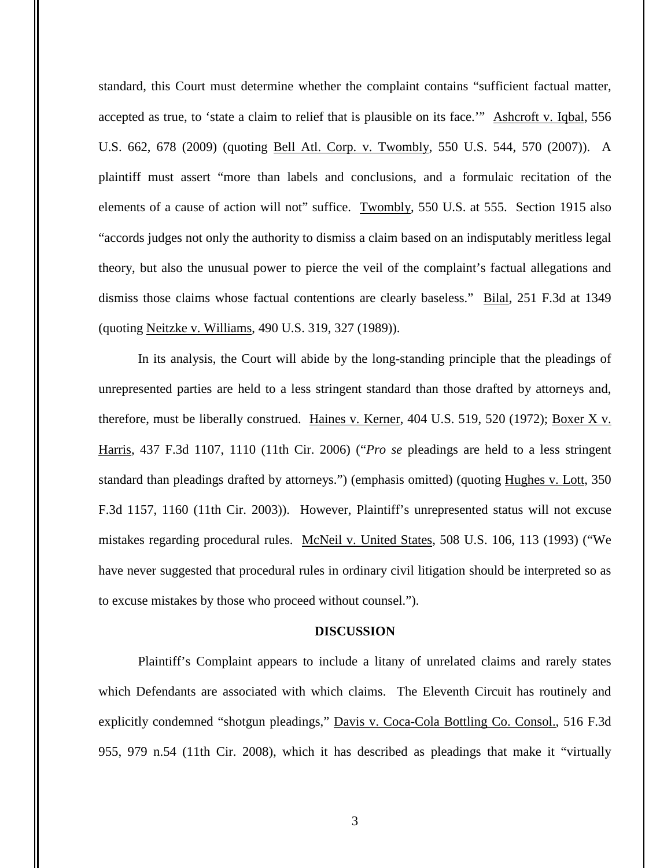standard, this Court must determine whether the complaint contains "sufficient factual matter, accepted as true, to 'state a claim to relief that is plausible on its face.'" Ashcroft v. Iqbal, 556 U.S. 662, 678 (2009) (quoting Bell Atl. Corp. v. Twombly, 550 U.S. 544, 570 (2007)). A plaintiff must assert "more than labels and conclusions, and a formulaic recitation of the elements of a cause of action will not" suffice. Twombly, 550 U.S. at 555. Section 1915 also "accords judges not only the authority to dismiss a claim based on an indisputably meritless legal theory, but also the unusual power to pierce the veil of the complaint's factual allegations and dismiss those claims whose factual contentions are clearly baseless." Bilal, 251 F.3d at 1349 (quoting Neitzke v. Williams, 490 U.S. 319, 327 (1989)).

In its analysis, the Court will abide by the long-standing principle that the pleadings of unrepresented parties are held to a less stringent standard than those drafted by attorneys and, therefore, must be liberally construed. Haines v. Kerner, 404 U.S. 519, 520 (1972); Boxer X v. Harris, 437 F.3d 1107, 1110 (11th Cir. 2006) ("*Pro se* pleadings are held to a less stringent standard than pleadings drafted by attorneys.") (emphasis omitted) (quoting Hughes v. Lott, 350 F.3d 1157, 1160 (11th Cir. 2003)). However, Plaintiff's unrepresented status will not excuse mistakes regarding procedural rules. McNeil v. United States, 508 U.S. 106, 113 (1993) ("We have never suggested that procedural rules in ordinary civil litigation should be interpreted so as to excuse mistakes by those who proceed without counsel.").

#### **DISCUSSION**

Plaintiff's Complaint appears to include a litany of unrelated claims and rarely states which Defendants are associated with which claims. The Eleventh Circuit has routinely and explicitly condemned "shotgun pleadings," Davis v. Coca-Cola Bottling Co. Consol., 516 F.3d 955, 979 n.54 (11th Cir. 2008), which it has described as pleadings that make it "virtually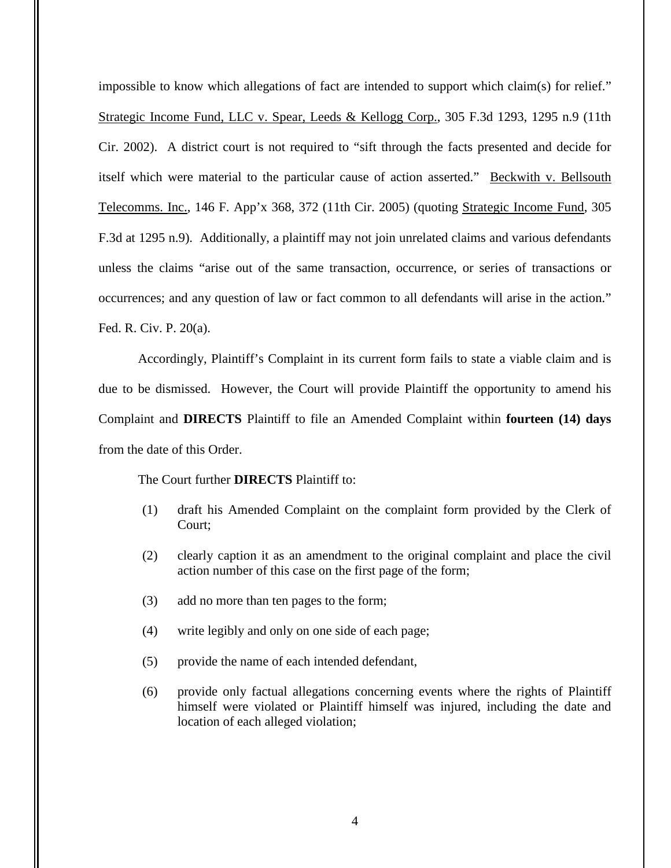impossible to know which allegations of fact are intended to support which claim(s) for relief." Strategic Income Fund, LLC v. Spear, Leeds & Kellogg Corp., 305 F.3d 1293, 1295 n.9 (11th Cir. 2002). A district court is not required to "sift through the facts presented and decide for itself which were material to the particular cause of action asserted." Beckwith v. Bellsouth Telecomms. Inc., 146 F. App'x 368, 372 (11th Cir. 2005) (quoting Strategic Income Fund, 305 F.3d at 1295 n.9). Additionally, a plaintiff may not join unrelated claims and various defendants unless the claims "arise out of the same transaction, occurrence, or series of transactions or occurrences; and any question of law or fact common to all defendants will arise in the action." Fed. R. Civ. P. 20(a).

Accordingly, Plaintiff's Complaint in its current form fails to state a viable claim and is due to be dismissed. However, the Court will provide Plaintiff the opportunity to amend his Complaint and **DIRECTS** Plaintiff to file an Amended Complaint within **fourteen (14) days**  from the date of this Order.

The Court further **DIRECTS** Plaintiff to:

- (1) draft his Amended Complaint on the complaint form provided by the Clerk of Court;
- (2) clearly caption it as an amendment to the original complaint and place the civil action number of this case on the first page of the form;
- (3) add no more than ten pages to the form;
- (4) write legibly and only on one side of each page;
- (5) provide the name of each intended defendant,
- (6) provide only factual allegations concerning events where the rights of Plaintiff himself were violated or Plaintiff himself was injured, including the date and location of each alleged violation;